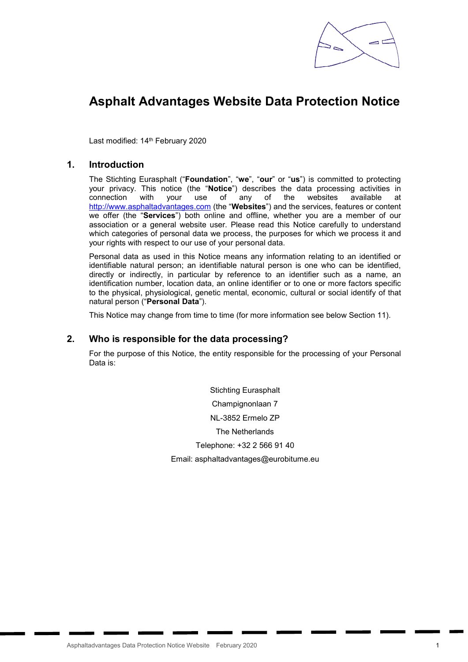

# Asphalt Advantages Website Data Protection Notice

Last modified: 14<sup>th</sup> February 2020

## 1. Introduction

The Stichting Eurasphalt ("Foundation", "we", "our" or "us") is committed to protecting your privacy. This notice (the "Notice") describes the data processing activities in connection with your use of any of the websites available at http://www.asphaltadvantages.com (the "Websites") and the services, features or content we offer (the "Services") both online and offline, whether you are a member of our association or a general website user. Please read this Notice carefully to understand which categories of personal data we process, the purposes for which we process it and your rights with respect to our use of your personal data.

Personal data as used in this Notice means any information relating to an identified or identifiable natural person; an identifiable natural person is one who can be identified, directly or indirectly, in particular by reference to an identifier such as a name, an identification number, location data, an online identifier or to one or more factors specific to the physical, physiological, genetic mental, economic, cultural or social identify of that natural person ("Personal Data").

This Notice may change from time to time (for more information see below Section 11).

#### 2. Who is responsible for the data processing?

For the purpose of this Notice, the entity responsible for the processing of your Personal Data is:

> Stichting Eurasphalt Champignonlaan 7 NL-3852 Ermelo ZP The Netherlands Telephone: +32 2 566 91 40 Email: asphaltadvantages@eurobitume.eu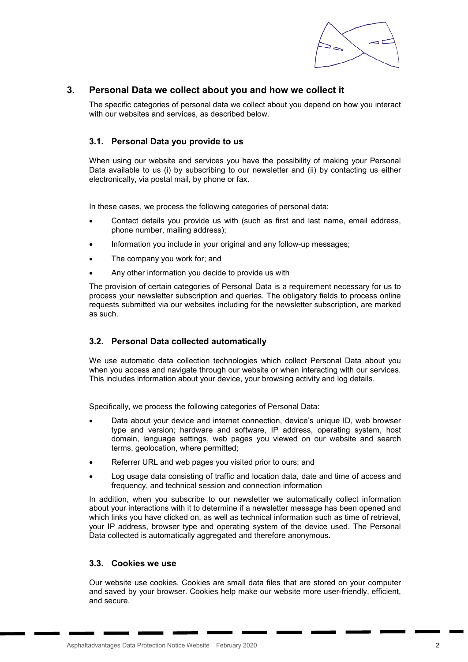

# 3. Personal Data we collect about you and how we collect it

The specific categories of personal data we collect about you depend on how you interact with our websites and services, as described below.

## 3.1. Personal Data you provide to us

When using our website and services you have the possibility of making your Personal Data available to us (i) by subscribing to our newsletter and (ii) by contacting us either electronically, via postal mail, by phone or fax.

In these cases, we process the following categories of personal data:

- Contact details you provide us with (such as first and last name, email address, phone number, mailing address);
- Information you include in your original and any follow-up messages;
- The company you work for; and
- Any other information you decide to provide us with

The provision of certain categories of Personal Data is a requirement necessary for us to process your newsletter subscription and queries. The obligatory fields to process online requests submitted via our websites including for the newsletter subscription, are marked as such.

#### 3.2. Personal Data collected automatically

We use automatic data collection technologies which collect Personal Data about you when you access and navigate through our website or when interacting with our services. This includes information about your device, your browsing activity and log details.

Specifically, we process the following categories of Personal Data:

- Data about your device and internet connection, device's unique ID, web browser type and version; hardware and software, IP address, operating system, host domain, language settings, web pages you viewed on our website and search terms, geolocation, where permitted;
- Referrer URL and web pages you visited prior to ours; and
- Log usage data consisting of traffic and location data, date and time of access and frequency, and technical session and connection information

In addition, when you subscribe to our newsletter we automatically collect information about your interactions with it to determine if a newsletter message has been opened and which links you have clicked on, as well as technical information such as time of retrieval, your IP address, browser type and operating system of the device used. The Personal Data collected is automatically aggregated and therefore anonymous.

## 3.3. Cookies we use

Our website use cookies. Cookies are small data files that are stored on your computer and saved by your browser. Cookies help make our website more user-friendly, efficient, and secure.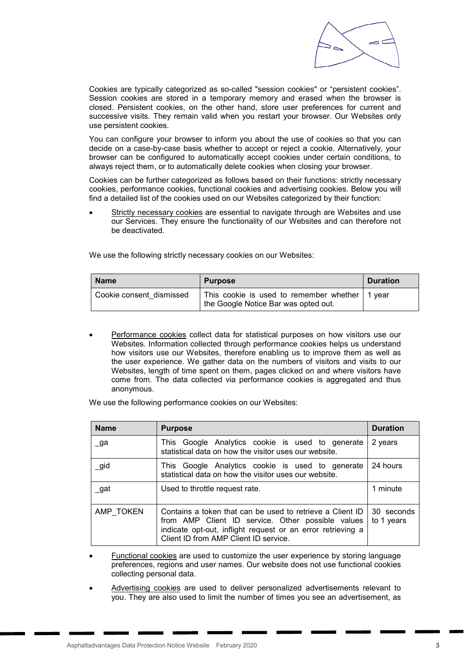

Cookies are typically categorized as so-called "session cookies" or "persistent cookies". Session cookies are stored in a temporary memory and erased when the browser is closed. Persistent cookies, on the other hand, store user preferences for current and successive visits. They remain valid when you restart your browser. Our Websites only use persistent cookies.

You can configure your browser to inform you about the use of cookies so that you can decide on a case-by-case basis whether to accept or reject a cookie. Alternatively, your browser can be configured to automatically accept cookies under certain conditions, to always reject them, or to automatically delete cookies when closing your browser.

Cookies can be further categorized as follows based on their functions: strictly necessary cookies, performance cookies, functional cookies and advertising cookies. Below you will find a detailed list of the cookies used on our Websites categorized by their function:

Strictly necessary cookies are essential to navigate through are Websites and use our Services. They ensure the functionality of our Websites and can therefore not be deactivated.

We use the following strictly necessary cookies on our Websites:

| <b>Name</b>              | <b>Purpose</b>                                                                                 | <b>Duration</b> |
|--------------------------|------------------------------------------------------------------------------------------------|-----------------|
| Cookie consent dismissed | This cookie is used to remember whether $\vert$ 1 year<br>the Google Notice Bar was opted out. |                 |

 Performance cookies collect data for statistical purposes on how visitors use our Websites. Information collected through performance cookies helps us understand how visitors use our Websites, therefore enabling us to improve them as well as the user experience. We gather data on the numbers of visitors and visits to our Websites, length of time spent on them, pages clicked on and where visitors have come from. The data collected via performance cookies is aggregated and thus anonymous.

We use the following performance cookies on our Websites:

| <b>Name</b> | <b>Purpose</b>                                                                                                                                                                                                                                     | <b>Duration</b> |
|-------------|----------------------------------------------------------------------------------------------------------------------------------------------------------------------------------------------------------------------------------------------------|-----------------|
| $\Box$ ga   | This Google Analytics cookie is used to generate<br>statistical data on how the visitor uses our website.                                                                                                                                          | 2 years         |
| _gid        | This Google Analytics cookie is used to generate<br>statistical data on how the visitor uses our website.                                                                                                                                          | 24 hours        |
| _gat        | Used to throttle request rate.                                                                                                                                                                                                                     | 1 minute        |
| AMP TOKEN   | Contains a token that can be used to retrieve a Client ID<br>30 seconds<br>from AMP Client ID service. Other possible values<br>to 1 years<br>indicate opt-out, inflight request or an error retrieving a<br>Client ID from AMP Client ID service. |                 |

- Functional cookies are used to customize the user experience by storing language preferences, regions and user names. Our website does not use functional cookies collecting personal data.
- Advertising cookies are used to deliver personalized advertisements relevant to you. They are also used to limit the number of times you see an advertisement, as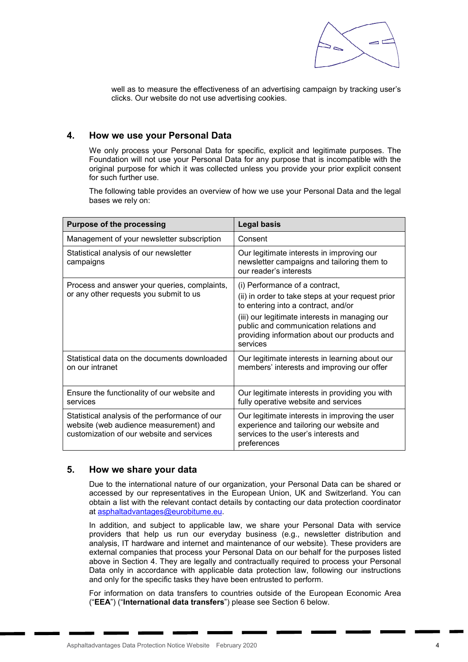

well as to measure the effectiveness of an advertising campaign by tracking user's clicks. Our website do not use advertising cookies.

## 4. How we use your Personal Data

We only process your Personal Data for specific, explicit and legitimate purposes. The Foundation will not use your Personal Data for any purpose that is incompatible with the original purpose for which it was collected unless you provide your prior explicit consent for such further use.

The following table provides an overview of how we use your Personal Data and the legal bases we rely on:

| <b>Purpose of the processing</b>                                                                                                      | <b>Legal basis</b>                                                                                                                                                                                                                                                                 |  |
|---------------------------------------------------------------------------------------------------------------------------------------|------------------------------------------------------------------------------------------------------------------------------------------------------------------------------------------------------------------------------------------------------------------------------------|--|
| Management of your newsletter subscription                                                                                            | Consent                                                                                                                                                                                                                                                                            |  |
| Statistical analysis of our newsletter<br>campaigns                                                                                   | Our legitimate interests in improving our<br>newsletter campaigns and tailoring them to<br>our reader's interests                                                                                                                                                                  |  |
| Process and answer your queries, complaints,<br>or any other requests you submit to us                                                | (i) Performance of a contract,<br>(ii) in order to take steps at your request prior<br>to entering into a contract, and/or<br>(iii) our legitimate interests in managing our<br>public and communication relations and<br>providing information about our products and<br>services |  |
| Statistical data on the documents downloaded<br>on our intranet                                                                       | Our legitimate interests in learning about our<br>members' interests and improving our offer                                                                                                                                                                                       |  |
| Ensure the functionality of our website and<br>services                                                                               | Our legitimate interests in providing you with<br>fully operative website and services                                                                                                                                                                                             |  |
| Statistical analysis of the performance of our<br>website (web audience measurement) and<br>customization of our website and services | Our legitimate interests in improving the user<br>experience and tailoring our website and<br>services to the user's interests and<br>preferences                                                                                                                                  |  |

#### 5. How we share your data

Due to the international nature of our organization, your Personal Data can be shared or accessed by our representatives in the European Union, UK and Switzerland. You can obtain a list with the relevant contact details by contacting our data protection coordinator at asphaltadvantages@eurobitume.eu.

In addition, and subject to applicable law, we share your Personal Data with service providers that help us run our everyday business (e.g., newsletter distribution and analysis, IT hardware and internet and maintenance of our website). These providers are external companies that process your Personal Data on our behalf for the purposes listed above in Section 4. They are legally and contractually required to process your Personal Data only in accordance with applicable data protection law, following our instructions and only for the specific tasks they have been entrusted to perform.

For information on data transfers to countries outside of the European Economic Area ("EEA") ("International data transfers") please see Section 6 below.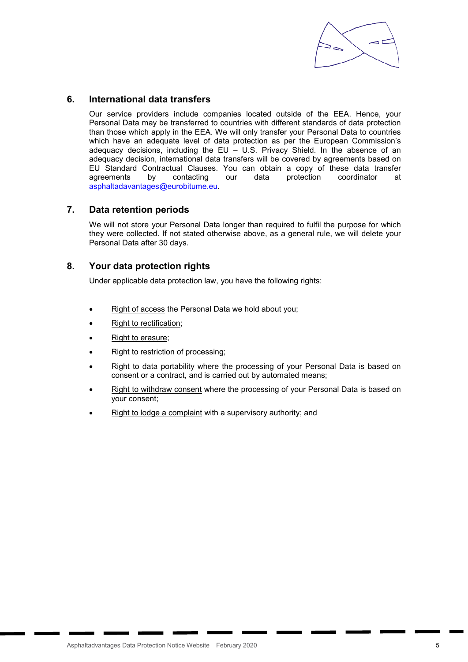

## 6. International data transfers

Our service providers include companies located outside of the EEA. Hence, your Personal Data may be transferred to countries with different standards of data protection than those which apply in the EEA. We will only transfer your Personal Data to countries which have an adequate level of data protection as per the European Commission's adequacy decisions, including the EU – U.S. Privacy Shield. In the absence of an adequacy decision, international data transfers will be covered by agreements based on EU Standard Contractual Clauses. You can obtain a copy of these data transfer agreements by contacting our data protection coordinator at asphaltadavantages@eurobitume.eu.

## 7. Data retention periods

We will not store your Personal Data longer than required to fulfil the purpose for which they were collected. If not stated otherwise above, as a general rule, we will delete your Personal Data after 30 days.

## 8. Your data protection rights

Under applicable data protection law, you have the following rights:

- Right of access the Personal Data we hold about you;
- Right to rectification;
- Right to erasure;
- Right to restriction of processing;
- Right to data portability where the processing of your Personal Data is based on consent or a contract, and is carried out by automated means;
- Right to withdraw consent where the processing of your Personal Data is based on your consent;
- Right to lodge a complaint with a supervisory authority; and